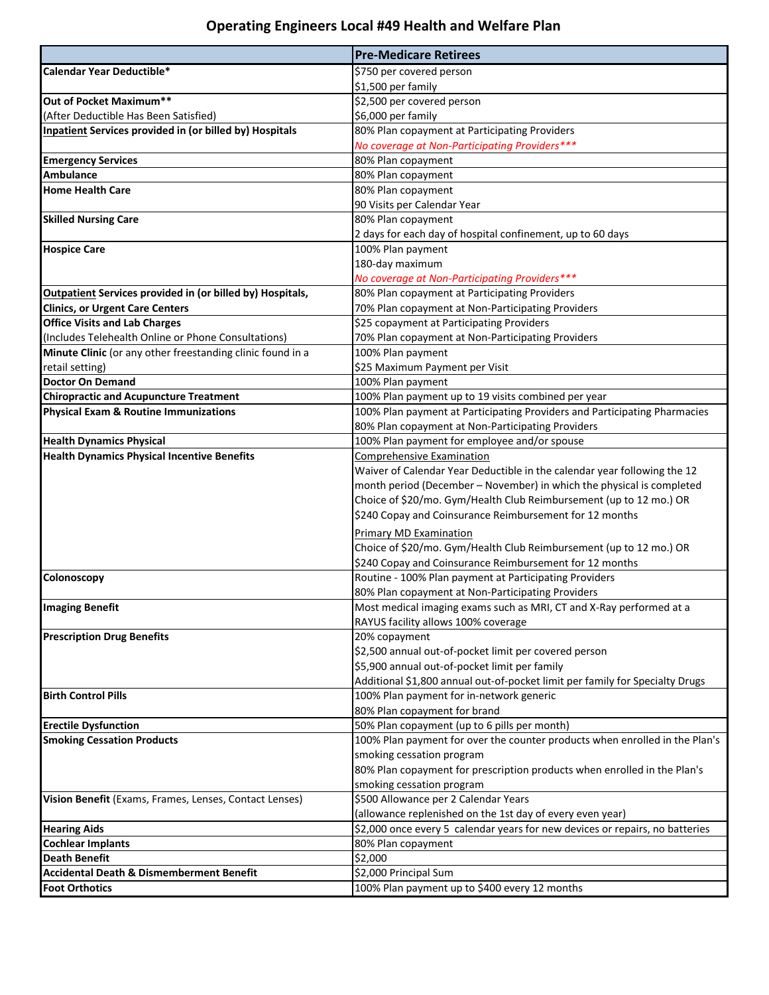## **Operating Engineers Local #49 Health and Welfare Plan**

|                                                                  | <b>Pre-Medicare Retirees</b>                                                                               |
|------------------------------------------------------------------|------------------------------------------------------------------------------------------------------------|
| Calendar Year Deductible*                                        | \$750 per covered person                                                                                   |
|                                                                  | \$1,500 per family                                                                                         |
| Out of Pocket Maximum**                                          | \$2,500 per covered person                                                                                 |
| (After Deductible Has Been Satisfied)                            | \$6,000 per family                                                                                         |
| <b>Inpatient Services provided in (or billed by) Hospitals</b>   | 80% Plan copayment at Participating Providers                                                              |
|                                                                  | No coverage at Non-Participating Providers***                                                              |
| <b>Emergency Services</b>                                        | 80% Plan copayment                                                                                         |
| <b>Ambulance</b>                                                 | 80% Plan copayment                                                                                         |
| <b>Home Health Care</b>                                          | 80% Plan copayment                                                                                         |
|                                                                  | 90 Visits per Calendar Year                                                                                |
| <b>Skilled Nursing Care</b>                                      | 80% Plan copayment                                                                                         |
|                                                                  | 2 days for each day of hospital confinement, up to 60 days                                                 |
| <b>Hospice Care</b>                                              | 100% Plan payment                                                                                          |
|                                                                  | 180-day maximum                                                                                            |
|                                                                  | No coverage at Non-Participating Providers***                                                              |
| <b>Outpatient Services provided in (or billed by) Hospitals,</b> | 80% Plan copayment at Participating Providers                                                              |
| <b>Clinics, or Urgent Care Centers</b>                           | 70% Plan copayment at Non-Participating Providers                                                          |
| <b>Office Visits and Lab Charges</b>                             | \$25 copayment at Participating Providers                                                                  |
| (Includes Telehealth Online or Phone Consultations)              | 70% Plan copayment at Non-Participating Providers                                                          |
| Minute Clinic (or any other freestanding clinic found in a       | 100% Plan payment                                                                                          |
| retail setting)                                                  | \$25 Maximum Payment per Visit                                                                             |
| <b>Doctor On Demand</b>                                          | 100% Plan payment                                                                                          |
| <b>Chiropractic and Acupuncture Treatment</b>                    | 100% Plan payment up to 19 visits combined per year                                                        |
| <b>Physical Exam &amp; Routine Immunizations</b>                 | 100% Plan payment at Participating Providers and Participating Pharmacies                                  |
|                                                                  | 80% Plan copayment at Non-Participating Providers                                                          |
| <b>Health Dynamics Physical</b>                                  | 100% Plan payment for employee and/or spouse                                                               |
| <b>Health Dynamics Physical Incentive Benefits</b>               | <b>Comprehensive Examination</b>                                                                           |
|                                                                  | Waiver of Calendar Year Deductible in the calendar year following the 12                                   |
|                                                                  | month period (December - November) in which the physical is completed                                      |
|                                                                  | Choice of \$20/mo. Gym/Health Club Reimbursement (up to 12 mo.) OR                                         |
|                                                                  | \$240 Copay and Coinsurance Reimbursement for 12 months                                                    |
|                                                                  | <b>Primary MD Examination</b>                                                                              |
|                                                                  | Choice of \$20/mo. Gym/Health Club Reimbursement (up to 12 mo.) OR                                         |
|                                                                  | \$240 Copay and Coinsurance Reimbursement for 12 months                                                    |
| Colonoscopy                                                      | Routine - 100% Plan payment at Participating Providers                                                     |
|                                                                  | 80% Plan copayment at Non-Participating Providers                                                          |
|                                                                  |                                                                                                            |
| <b>Imaging Benefit</b>                                           | Most medical imaging exams such as MRI, CT and X-Ray performed at a<br>RAYUS facility allows 100% coverage |
| <b>Prescription Drug Benefits</b>                                | 20% copayment                                                                                              |
|                                                                  | \$2,500 annual out-of-pocket limit per covered person                                                      |
|                                                                  | \$5,900 annual out-of-pocket limit per family                                                              |
|                                                                  | Additional \$1,800 annual out-of-pocket limit per family for Specialty Drugs                               |
| <b>Birth Control Pills</b>                                       | 100% Plan payment for in-network generic                                                                   |
|                                                                  | 80% Plan copayment for brand                                                                               |
| <b>Erectile Dysfunction</b>                                      | 50% Plan copayment (up to 6 pills per month)                                                               |
| <b>Smoking Cessation Products</b>                                | 100% Plan payment for over the counter products when enrolled in the Plan's                                |
|                                                                  | smoking cessation program                                                                                  |
|                                                                  | 80% Plan copayment for prescription products when enrolled in the Plan's                                   |
|                                                                  | smoking cessation program                                                                                  |
| Vision Benefit (Exams, Frames, Lenses, Contact Lenses)           | \$500 Allowance per 2 Calendar Years                                                                       |
|                                                                  | (allowance replenished on the 1st day of every even year)                                                  |
| <b>Hearing Aids</b>                                              | \$2,000 once every 5 calendar years for new devices or repairs, no batteries                               |
| <b>Cochlear Implants</b>                                         | 80% Plan copayment                                                                                         |
| <b>Death Benefit</b>                                             | \$2,000                                                                                                    |
| <b>Accidental Death &amp; Dismemberment Benefit</b>              | \$2,000 Principal Sum                                                                                      |
| <b>Foot Orthotics</b>                                            | 100% Plan payment up to \$400 every 12 months                                                              |
|                                                                  |                                                                                                            |